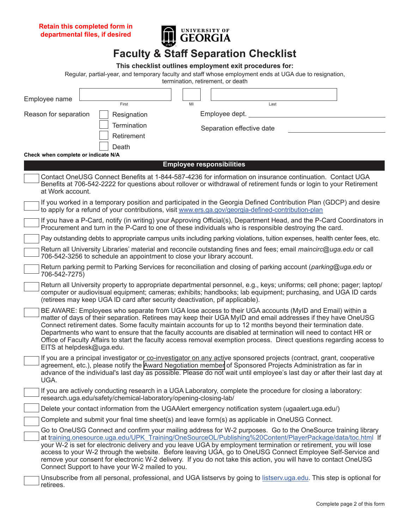retirees.

 $\mathsf{I}$ 



## **Faculty & Staff Separation Checklist**

## **This checklist outlines employment exit procedures for:**

Regular, partial-year, and temporary faculty and staff whose employment ends at UGA due to resignation,

|                                                              |                                                                              | termination, retirement, or death                                                                                                                                                                                                                                                                                                                                                                                                                                                                                                                                                |  |
|--------------------------------------------------------------|------------------------------------------------------------------------------|----------------------------------------------------------------------------------------------------------------------------------------------------------------------------------------------------------------------------------------------------------------------------------------------------------------------------------------------------------------------------------------------------------------------------------------------------------------------------------------------------------------------------------------------------------------------------------|--|
| Employee name                                                | First                                                                        | Last<br>MI                                                                                                                                                                                                                                                                                                                                                                                                                                                                                                                                                                       |  |
| Reason for separation<br>Check when complete or indicate N/A | Resignation<br>Termination<br>Retirement<br>Death                            | Employee dept.<br>Separation effective date                                                                                                                                                                                                                                                                                                                                                                                                                                                                                                                                      |  |
|                                                              |                                                                              | <b>Employee responsibilities</b>                                                                                                                                                                                                                                                                                                                                                                                                                                                                                                                                                 |  |
| at Work account.                                             |                                                                              | Contact OneUSG Connect Benefits at 1-844-587-4236 for information on insurance continuation. Contact UGA<br>Benefits at 706-542-2222 for questions about rollover or withdrawal of retirement funds or login to your Retirement                                                                                                                                                                                                                                                                                                                                                  |  |
|                                                              |                                                                              | If you worked in a temporary position and participated in the Georgia Defined Contribution Plan (GDCP) and desire<br>to apply for a refund of your contributions, visit www.ers.ga.gov/georgia-defined-contribution-plan                                                                                                                                                                                                                                                                                                                                                         |  |
|                                                              |                                                                              | If you have a P-Card, notify (in writing) your Approving Official(s), Department Head, and the P-Card Coordinators in<br>Procurement and turn in the P-Card to one of these individuals who is responsible destroying the card.                                                                                                                                                                                                                                                                                                                                                  |  |
|                                                              |                                                                              | Pay outstanding debts to appropriate campus units including parking violations, tuition expenses, health center fees, etc.                                                                                                                                                                                                                                                                                                                                                                                                                                                       |  |
|                                                              | 706-542-3256 to schedule an appointment to close your library account.       | Return all University Libraries' material and reconcile outstanding fines and fees; email maincirc@uga.edu or call                                                                                                                                                                                                                                                                                                                                                                                                                                                               |  |
| 706-542-7275)                                                |                                                                              | Return parking permit to Parking Services for reconciliation and closing of parking account (parking@uga.edu or                                                                                                                                                                                                                                                                                                                                                                                                                                                                  |  |
|                                                              | (retirees may keep UGA ID card after security deactivation, pif applicable). | Return all University property to appropriate departmental personnel, e.g., keys; uniforms; cell phone; pager; laptop/<br>computer or audiovisual equipment; cameras; exhibits; handbooks; lab equipment; purchasing, and UGA ID cards                                                                                                                                                                                                                                                                                                                                           |  |
|                                                              | EITS at helpdesk@uga.edu.                                                    | BE AWARE: Employees who separate from UGA lose access to their UGA accounts (MyID and Email) within a<br>matter of days of their separation. Retirees may keep their UGA MyID and email addresses if they have OneUSG<br>Connect retirement dates. Some faculty maintain accounts for up to 12 months beyond their termination date.<br>Departments who want to ensure that the faculty accounts are disabled at termination will need to contact HR or<br>Office of Faculty Affairs to start the faculty access removal exemption process. Direct questions regarding access to |  |
| UGA.                                                         |                                                                              | If you are a principal investigator or co-investigator on any active sponsored projects (contract, grant, cooperative<br>agreement, etc.), please notify the Award Negotiation member of Sponsored Projects Administration as far in<br>advance of the individual's last day as possible. Please do not wait until employee's last day or after their last day at                                                                                                                                                                                                                |  |
|                                                              | research.uga.edu/safety/chemical-laboratory/opening-closing-lab/             | If you are actively conducting research in a UGA Laboratory, complete the procedure for closing a laboratory:                                                                                                                                                                                                                                                                                                                                                                                                                                                                    |  |
|                                                              |                                                                              | Delete your contact information from the UGAAlert emergency notification system (ugaalert.uga.edu/)                                                                                                                                                                                                                                                                                                                                                                                                                                                                              |  |
|                                                              |                                                                              | Complete and submit your final time sheet(s) and leave form(s) as applicable in OneUSG Connect.                                                                                                                                                                                                                                                                                                                                                                                                                                                                                  |  |
|                                                              | Connect Support to have your W-2 mailed to you.                              | Go to OneUSG Connect and confirm your mailing address for W-2 purposes. Go to the OneSource training library<br>at training.onesource.uga.edu/UPK Training/OneSourceOL/Publishing%20Content/PlayerPackage/data/toc.html If<br>your W-2 is set for electronic delivery and you leave UGA by employment termination or retirement, you will lose<br>access to your W-2 through the website. Before leaving UGA, go to OneUSG Connect Employee Self-Service and<br>remove your consent for electronic W-2 delivery. If you do not take this action, you will have to contact OneUSG |  |
|                                                              |                                                                              | Unsubscribe from all personal, professional, and UGA listservs by going to listserv.uga.edu. This step is optional for                                                                                                                                                                                                                                                                                                                                                                                                                                                           |  |